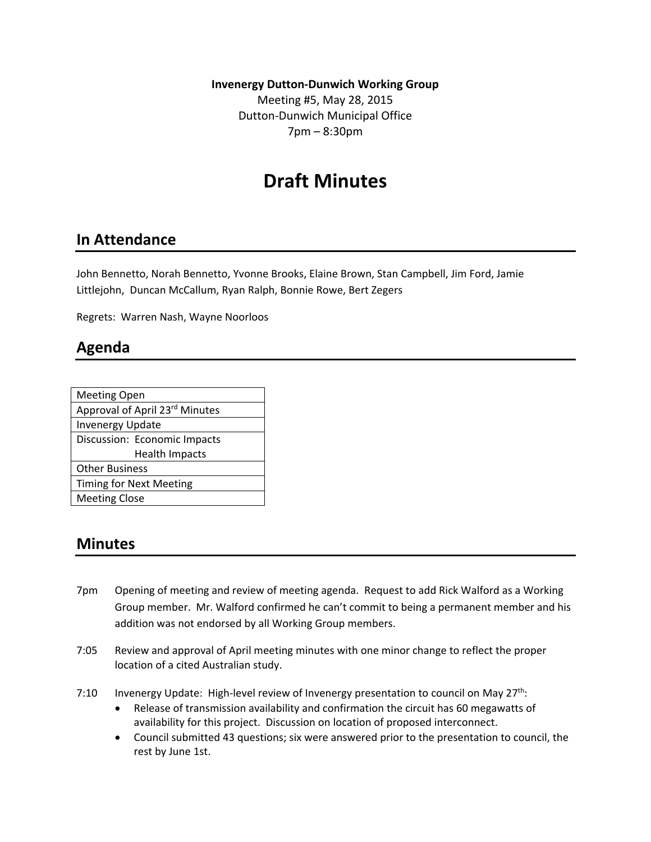**Invenergy Dutton‐Dunwich Working Group**

Meeting #5, May 28, 2015 Dutton‐Dunwich Municipal Office 7pm – 8:30pm

# **Draft Minutes**

### **In Attendance**

John Bennetto, Norah Bennetto, Yvonne Brooks, Elaine Brown, Stan Campbell, Jim Ford, Jamie Littlejohn, Duncan McCallum, Ryan Ralph, Bonnie Rowe, Bert Zegers

Regrets: Warren Nash, Wayne Noorloos

## **Agenda**

| <b>Meeting Open</b>            |
|--------------------------------|
| Approval of April 23rd Minutes |
| <b>Invenergy Update</b>        |
| Discussion: Economic Impacts   |
| <b>Health Impacts</b>          |
| <b>Other Business</b>          |
| Timing for Next Meeting        |
| <b>Meeting Close</b>           |
|                                |

#### **Minutes**

- 7pm Opening of meeting and review of meeting agenda. Request to add Rick Walford as a Working Group member. Mr. Walford confirmed he can't commit to being a permanent member and his addition was not endorsed by all Working Group members.
- 7:05 Review and approval of April meeting minutes with one minor change to reflect the proper location of a cited Australian study.
- 7:10 Invenergy Update: High-level review of Invenergy presentation to council on May 27<sup>th</sup>:
	- Release of transmission availability and confirmation the circuit has 60 megawatts of availability for this project. Discussion on location of proposed interconnect.
	- Council submitted 43 questions; six were answered prior to the presentation to council, the rest by June 1st.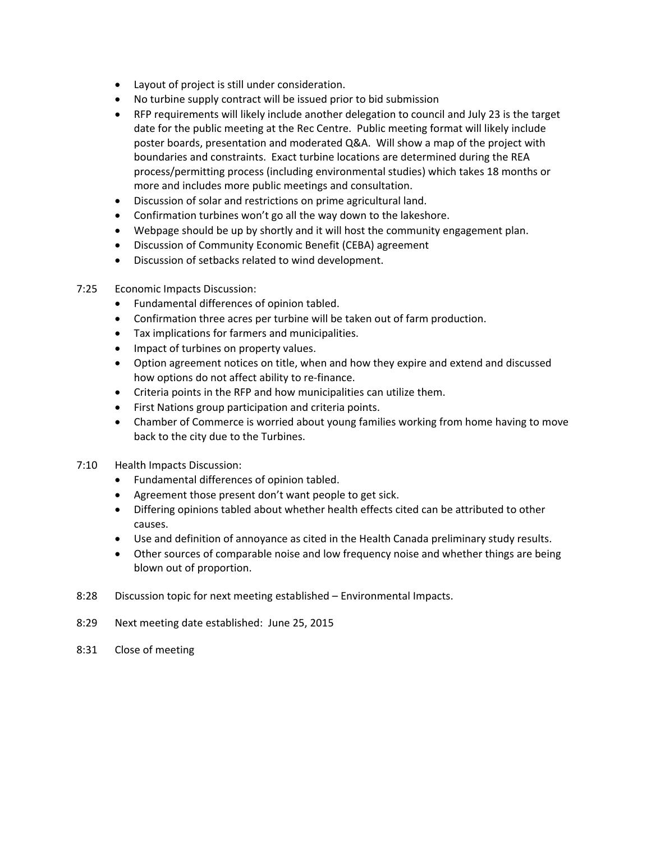- Layout of project is still under consideration.
- No turbine supply contract will be issued prior to bid submission
- RFP requirements will likely include another delegation to council and July 23 is the target date for the public meeting at the Rec Centre. Public meeting format will likely include poster boards, presentation and moderated Q&A. Will show a map of the project with boundaries and constraints. Exact turbine locations are determined during the REA process/permitting process (including environmental studies) which takes 18 months or more and includes more public meetings and consultation.
- Discussion of solar and restrictions on prime agricultural land.
- Confirmation turbines won't go all the way down to the lakeshore.
- Webpage should be up by shortly and it will host the community engagement plan.
- Discussion of Community Economic Benefit (CEBA) agreement
- Discussion of setbacks related to wind development.
- 7:25 Economic Impacts Discussion:
	- Fundamental differences of opinion tabled.
	- Confirmation three acres per turbine will be taken out of farm production.
	- Tax implications for farmers and municipalities.
	- Impact of turbines on property values.
	- Option agreement notices on title, when and how they expire and extend and discussed how options do not affect ability to re-finance.
	- Criteria points in the RFP and how municipalities can utilize them.
	- First Nations group participation and criteria points.
	- Chamber of Commerce is worried about young families working from home having to move back to the city due to the Turbines.
- 7:10 Health Impacts Discussion:
	- Fundamental differences of opinion tabled.
	- Agreement those present don't want people to get sick.
	- Differing opinions tabled about whether health effects cited can be attributed to other causes.
	- Use and definition of annoyance as cited in the Health Canada preliminary study results.
	- Other sources of comparable noise and low frequency noise and whether things are being blown out of proportion.
- 8:28 Discussion topic for next meeting established Environmental Impacts.
- 8:29 Next meeting date established: June 25, 2015
- 8:31 Close of meeting